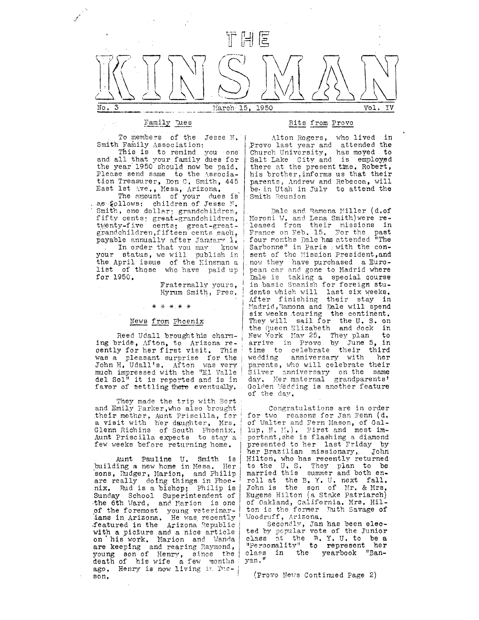

# Family Dues

To members of the Jesse M. Smith Family Association:

This is to remind you one and all that your family dues for the year 1950 should now be paid. Please send same to the Association Treasurer, Don C. Smith, 445 East lst Ave., Mesa, Arizona.

The amount of your dues is as follows: children of Jesse N. Smith, one dollar; grandchildren, fifty cents; great-grandchildren, twenty-five cents; great-greatgrandchildren, fifteen cents each, payable annually after January 1. In order that you may know<br>your status, we will publish in the April issue of the Kinsman a list of those who have paid up for 1950.

> Fraternally yours, Hyrum Smith, Pres.

\* \* \* \* \*

### News from Phoenix

Reed Udall broughthis charming bride, Afton, to Arizona re-<br>cently for her first visit. This was a pleasant surprise for the John H. Udall's. Afton was very<br>much impressed with the "El Valle del Sol<sup>#</sup> it is reported and is in favor of settling there eventually.

They made the trip with Bert and Emily Parker, who also brought their mother, Aunt Priscilla, for<br>a visit with her daughter, Mrs.<br>Glenn Richins of South Phoenix.<br>Aunt Priscilla expects to stay a few weeks before returning home.

Aunt Pauline U. Smith is<br>building a new home in Mesa. Her sons, Rudger, Marion, and Philip are really doing things in Phoenix. Rud is a bishop; Philip is Sunday School Superintendent of the 6th Ward, and Marion is one of the foremost young veterinarians in Arizona. He was recently<br>featured in the Arizona Republic with a picture and a nice article on his work. Marion and Wanda are keeping and rearing Raymond, young son of Henry, since the<br>death of his wife a few months ago. Henry is now living in Theson.

### Bits from Provo

Alton Rogers, who lived in Provo last year and attended the<br>Church University, has moved to<br>Salt Lake City and is employed there at the present time. Robert, his brother, informs us that their parents, Andrew and Rebecca, will be in Utah in July to attend the Smith Reunion

Dale and Ramona Miller (d.of Moroni W. and Lena Smith) were released from their missions in France on Feb. 15. For the past<br>four months Dale has attended "The Sarbonne" in Paris : with the consent of the Mission President, and now they have purchased a European car and gone to Madrid where Dale is taking a special course in basic Spanish for foreign students which will last six weeks. After finishing their stay in Madrid, Ramona and Dale will spend six weeks touring the continent. They will sail for the U.S. on the Queen Elizabeth and dock in New York May 25, They plan to<br>arrive in Provo by June 5, in<br>time to celebrate their third wedding anniversary with her parents, who will celebrate their Silver anniversary on the same<br>day. Her maternal grandparents' Golden Wêdding is another feature of the day.

Congratulations are in order for two reasons for Jan Fenn (d. of Walter and Fern Mason, of Gallup, N. M.). First and most important, she is flashing a diamond presented to her last Friday by her Brazilian missionary, John Hilton, who has recently returned to the U.S. They plan to be married this summer and both enroll at the B.Y.U. next fall.<br>John is the son of Mr. & Mrs. Eugene Hilton (a Stake Patriarch) of Oakland, California. Mrs. Hil-<br>ton is the former Ruth Savage of Woodruff, Arizona.

Secondly, Jan has been elected by popular vote of the Junior class at the R.Y.U. to be a<br>"Personality" to represent her yearbook "Banthe class in yan."

(Provo News Continued Page 2)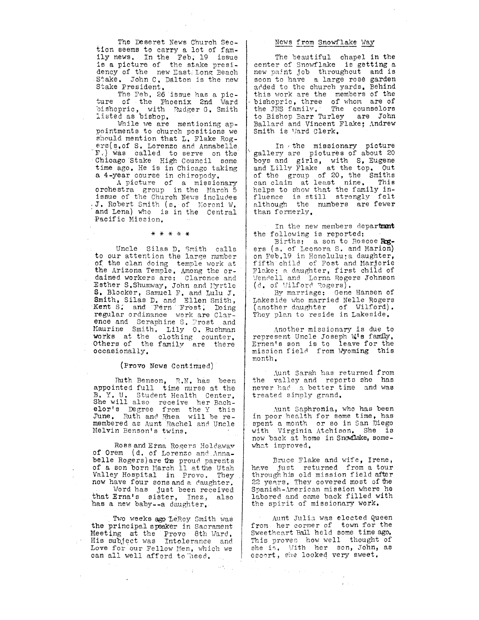The Deseret News Church Section seems to carry a lot of family news. In the Feb. 19 issue is a picture of the stake presidency of the new East Long Beach Stake. John C. Dalton is the new Stake President.

The Feb. 26 issue has a picture of the Phoenix 2nd Ward bishopric, with Rudger G. Smith<br>listed as bishop.

While we are mentioning appointments to church positions we should mention that L. Flake Rogers(s.of S. Lorenzo and Annabelle F.) was called to serve on the Chicago Stake High Council some time ago. He is in Chicago taking a 4-year course in chiropody.

A picture of a missionary<br>orchestra group in the March 5 issue of the Church News includes J. Robert Smith (s. of Moroni W. and Lena) who is in the Central Pacific Mission.

\* \* \* \* \*

Uncle Silas D. Smith calls<br>to our attention the large number of the clan doing temple work at the Arizona Temple. Among the ordained workers are: Clarence and Esther S. Shumway, John and Myrtle S. Blocker, Samuel F. and Lulu J. Smith, Silas D. and Ellen Smith, Kent S. and Fern Frost, Doing regular ordinance work are Clarence and Seraphine S. Frost and Maurine Smith. Lily 0. Bushman works at the clothing counter.<br>Others of the family are there occasionally.

(Provo News Continued)

Ruth Benson, R.N. has been<br>appointed full time nurse at the B. Y. U. Student Health Center.<br>She will also receive her Bach-<br>elor's Degree from the Y this<br>June. Ruth and Rhea will be remembered as Aunt Rachel and Uncle Melvin Benson's twins.

Ross and Erna Rogers Holdaway of Orem (d. of Lorenzo and Annabelle Rogers) are the proud parents of a son born March 11 at the Utah Valley Hospital in Provo. They now have four sons and a daughter. Word has just been received that Erna's sister, Inez, also<br>has a new baby--a daughter.

Two weeks ago LeRoy Smith was the principal speaker in Sacrament Meeting at the Provo 8th Ward.<br>His subject was Intolerance and Love for our Fellow Men, which we can all well afford to heed.  $\mathcal{A}_{\mathcal{A}}$ 

 $\log \frac{1}{2} \log \frac{1}{2}$ 

## News from Snowflake Way

The beautiful chapel in the center of Snowflake is getting a new paint job throughout and is soon to have a large rose garden<br>added to the church yards. Behind this work are the members of the bishopric, three of whom are of the JNS family. The counselors<br>to Bishop Barr Turley are John Ballard and Vincent Flake; Andrew Smith is Ward Clerk.

In the missionary picture<br>gallery are pictures of about 20<br>boys and girls, with S. Eugene<br>and Lilly Flake at the top. Out of the group of 20, the Smiths can claim at least nine. This<br>helps to show that the family influence is still strongly felt although the numbers are fewer than formerly.

In the new members department the following is reported:

Births: a son to Roscoe Rogers (s. of Leonora S. and Marion) on Feb.19 in Honolulu; a daughter, fifth child of Fost and Marjorie Flake; a daughter, first child of Wendell and Lorna Rogers Johnson (d. of Wilford Rogers).

By marriage: Gene Hansen of Lakeside who married Nelle Rogers (another daughter of Wilford). They plan to reside in Lakeside.

Another missionary is due to represent Uncle Joseph W's family. Ernen's son is to leave for the<br>mission field from Wyoming this month.

Aunt Sarah has returned from<br>the valley and reports she has never had a better time and was treated simply grand.

Aunt Saphronia, who has been in poor health for some time, has spent a month or so in San Diego with Virginia Atchison. She is now back at home in Snowflake, somewhat improved.

Bruce Flake and wife, Irene, have just returned from a tour through his old mission field after 22 years. They covered most of the Spanish-American mission where he labored and came back filled with the spirit of missionary work.

Aunt Julia was elected Queen from her corner of town for the Sweetheart Ball held some time ago. This proves how well thought of she is. With her son, John, as<br>escort, she looked very sweet.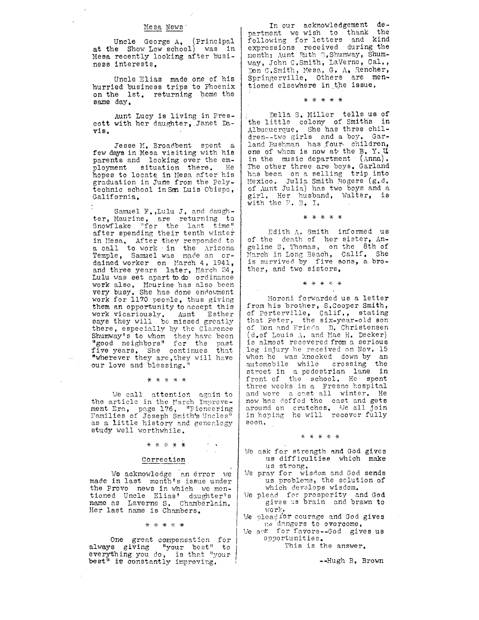### Mesa News'

Uncle George A. (Principal at the Show Low school) was in Mesa recently looking after business interests.

Uncle Elias made one of his hurrled businees trips to Phoenix on the 1st. returning home the same day.

Aunt LucY ls living in Prescott with her daughter, Janet Davi B.

Jesse M. Broadbent spent a few days in Mesa visiting with his parents and looking over the em-<br>ployment situation there. He hopes to locate in Mesa after his graduation ln June fron the Polytechnic school in San Luis Obispo, commo sonoof in ser hair esispo,

Samuel F., Lulu J. and daughter, Maurine, are returning to Snowflake "for the last time" after spending their tenth winter in Mesa, After they responded to a call to work in the Arizona Temple, Samuel was made an ordained worker on March 4, 1941, and three years later, March  $24$ , Iulu was set apart to do ordinance work also, Maurine has also been very busy. She has done endowment work for 1170 peonle, thus giving them an opportunity to nccept this work vicariously. Aunt Esther<br>says they will be missed greatly there, especially by the Clarence Shumway's to whom they have been<br>"good neighbors" for the past five years. She continues that<br>"wherever they are, they will have "wherever they are, they will have<br>our love and blessing."

J(\*\*\*.+

We call attention again to the article in the March Improvement Tra, page 176, "Pioneering<br>Families of Joseph Smith's Uncles" as a little history and genealogy study well worthwhile.

# $\label{eq:2} \begin{array}{l} \mathcal{L}_{\mathcal{A}}(\mathbf{x}) = \mathcal{L}_{\mathcal{A}}(\mathbf{x})\\ \mathcal{L}_{\mathcal{A}}(\mathbf{x}) = \mathcal{L}_{\mathcal{A}}(\mathbf{x}) \end{array}$ \* \* \* \* \*

### Correctlon

We acknowledge 'an error we made in last month's issue under<br>the Provo news in which we men-<br>tloned Uncle Elias' daughter's name as Laverne S. Chamberlain. Her last name is Chambers.

 $\begin{array}{cccccccccccccc} \star & \star & \star & \star & \star & \star \end{array}$ 

One great compensation for<br>always giving "your best" to everything you do, is that "your<br>best" is constantly improving.

In our acknowledgement department we wish to thank the following for letters and kind expreseions received during the month: Aunt Ruth S. Shumway, Shumway, John C.Smith, LaVerne, Cal., Don C.Smith, Mesa, G. A. Rencher,<br>Springerville, Others are mentioned elsewhere in the issue.

\* \* \* \* \*

Della S. Miller tells us of the little colony of Smiths in Albuquerque. She has three children--two girls and a boy. Garland Bushman has four children, one of whom is now at the B. Y. U. in the music department  $(\text{Anna})$ . The other three are boys. Garland has been on a selling trip into Mexico. Julia Smith Rogers (g.d. of Aunt Julia) has two boYs and <sup>a</sup> girl. Her husband, Walter, is with the  $\mathbb{F}$ . B. I.

\*\*rr\*\*

Edith  $\Lambda$ . Smith informed us of the death of her sister, Angeline S. Thomas, on the 8th of March in Long Beach, Calif. She is survived by five sons, a brother, and two sisters.

 $*$   $*$   $*$   $*$   $*$ 

Moroni forwarded us a letter from his brother, S.Cooper Smith, of Porterville, Calif., stati that Peter, the six-year-old son of Don and Frieda  $\Box$ . Christensen (d.of Louis  $\Lambda$ , and Mae H. Decker) is almost recovered from a serious 15 dimost received from a serious when he was knocked down by an automobile while crossing the street in a pedestrian lane in front of the school. He spent three weeks in a Fresno hospital and wore a cast all winter. He now has doffed the cast and gets around on crutches. We all Join in hoping he will recover fully eoon.

### x\*\*\*\*

- We ask for strength and God gives us difficulties which make us strong.
- We pray for wisdom and God sends us problems, the solution of<br>which develops wisdom. which develops wisdom.<br>We plead for prosperity and God
- gives as brain and brawn to r,,lo rlr,
- We plead for courage and God gives 1:s dangers to overcome.
- We ark for favors--God gives us opportunities.

This is the answer.

--Hugh B. Brown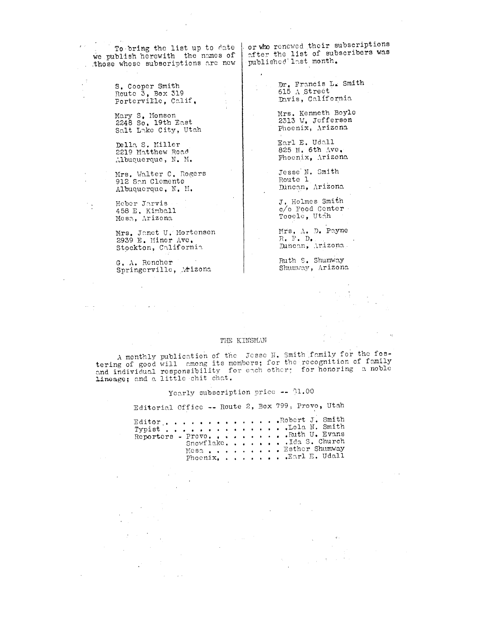To bring the list up to date | we publish herewith the names of . those whose subscriptions are new

> S. Cooper Smith Route  $3$ , Box 319 Porterville, Calif.

Mary S. Monson 2248 So. 19th East Salt Lake City, Utah

Della S. Miller 2219 Matthew Road Albuquerque, N. M.

Mrs. Walter C. Rogers 912 Son Clemente Albuquerque, N. M.

Heber Jarvis 458 E. Kimball<br>Mesa, Arizona

 $\ddot{\phantom{a}}$ 

 $\frac{1}{2}$ 

Mrs. Janet U. Mortensen<br>2939 E. Miner Ave. Stockton, California

G. A. Rencher G. A. Rendner<br>Springerville, Atizona or who renewed their subscriptions ofter the list of subscribers was

> Dr. Francis L. Smith<br>615 A Street Davis, California

Mrs. Kenneth Boyle 2313 W. Jefferson Phoenix, Arizona

Earl E. Udall 825 N. 6th Ave. Phoenix, Arizona

Jesse N. Smith Route 1 Dúncan, Arizona

J. Holmes Smith c/o Food Center Tooele, Utih

Mrs. A. D. Payne  $R_+$   $\mathbb{P}_+$   $D_+$ Duncan, Arizona

Ruth S. Shumway Shumway, Arizona

## THE KINSMAN

A monthly publication of the JOSSe N. Smith family for the fostering of good will among its members; for the recognition of family and individual responsibility for each other; for honoring a noble Lineage; and a little chit chat.

Yearly subscription price -- \$1.00

Editorial Office -- Route 2, Box 799, Provo, Utah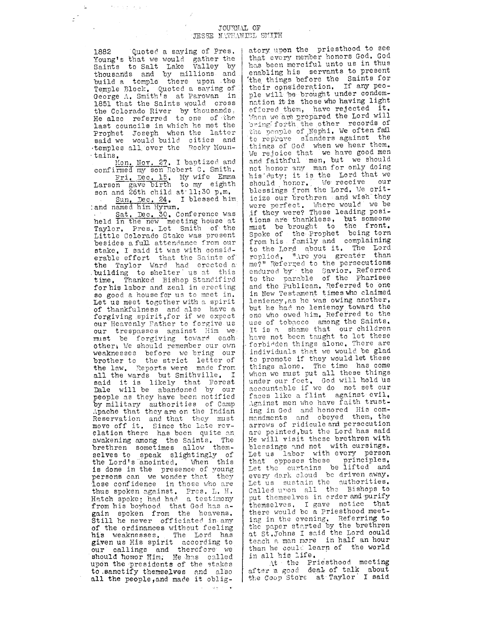## JOURNAL OF JESSE NATHANISL SMITH

Quoted a saying of Pres. 1882 Young's that we would gather the<br>Saints to Salt Lake Valley by<br>thousands and by millions and<br>build a temple there upon the Temple Block. Quoted a saying of George A. Smith's at Parowan in 1851 that the Saints would cross the Colorado River by thousands.<br>He also referred to one of the last councils in which he met the Prophet Joseph when the latter<br>said we would build cities and<br>temples all over the Rocky Mountains.

Construction of the State

 $\mathbb{Z}^2$  $\mathbb{R}^2$ 

> Mon. Nov. 27. I baptized and confirmed my son Robert C. Smith. Fri. Dec. 15. My wife Emma Larson gave birth to my eighth

son and 26th child at 11:30 p.m. Sun, Dec. 24. I blessed him

Sat. Dec. 30. Conference was<br>held in the new meeting house at Taylor. Pres. Lot Smith of the Little Colorado Stake was present besides a full attendance from our stake, I said it was with considerable effort that the Saints of the Taylor Ward had erected a building to shelter us at this time. Thanked Bishop Standifird for his labor and zeal in erecting so good a house for us to meet in. Let us meet together with a spirit of thankfulness and also have a forgiving spirit, for if we expect our Heavenly Father to forgive us our trespasses against Him we must be forgiving toward each. other, We should remember our own weaknesses before we bring our<br>brother to the strict letter of<br>the law. Reports were made from all the wards but Smithville. I said it is likely that Forest<br>Dale will be abandoned by our people as they have been notified by military authorities of Camp Apache that they are on the Indian Reservation and that they must move off it. Since the late rev-<br>elation there has been quite on awakening among the Saints. The brethren sometimes allow themselves to speak slightingly of<br>the Lord's anointed. When this is done in the presence of young persons can we wonder that they lose confidence in those who are thus spoken against. Pres. L. H. Hatch spoke; had had a testimony from his boyhood that God has again spoken from the heavens.<br>Still he never officiated in any of the ordinances without feeling his weaknesses. The Lord has given us His spirit according to<br>our callings and therefore we should honor Him. He has called upon the presidents of the stakes to sanctify themselves and also all the people, and made it obligatory upon the priesthood to see that every member honors God. God has been merciful unto us in thus enabling his servants to present the things before the Saints for<br>their consideration. If any people will be brought under condemnation it is those who having light offered them, have rejected it. When we are prepared the Lord will bring forth the other records of the people of Nephi. We often fall to reprove slanders against the things of God when we hear them. We rejoice that we have good men and faithful men, but we should not honor any man for only doing his duty; it is the Lord that we should honor. We receive our<br>blessings from the Lord. We criticize our brethren and wish they were perfect. Where would we be<br>if they were? These leading positions are thankiess, but someone must be brought to the front. Spoke of the Prophet being torn from his family and complaining to the Lord about it. The Lord<br>replied, "Are you greater than me?" Referred to the persecutions endured by the Savior. Referred to the parable of the Pharisee and the Publican. Referred to one in New Testament times who claimed leniency, as he was owing another. but he had no leniency toward the one who owed him. Referred to the use of tobacco among the Saints. It is a shame that our children have not been taught to let these forbidden things alone. There are individuals that we would be glad to promote if they would let these things alone. The time has come when we must put all these things under our feet, God will hold us<br>accountable if we do not set our faces like a flint against evil. Against men who have faith trusting in God and honored His com-<br>mandments and obeyed them, the arrows of ridicule and persecution are pointed, but the Lord has said He will visit these brethren with blessings and not with cursings. Let us labor with every person that opposes these principles.<br>Let the curtains be lifted and<br>every dark cloud be driven away. Let us sustain the authorities. Called upon all the Bishops to put themselves in order and purify themselves. I gave notice that there would be a Priesthood meeting in the evening. Referring to the paper started by the brethren at St. Johns I said the Lord could teach a man more in half an hour than he could learn of the world in all his life.

At the Priesthood meeting<br>after a good deal of talk about the Coop Store at Taylor I said